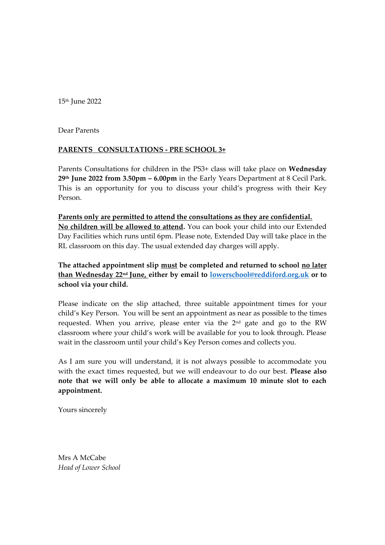15th June 2022

Dear Parents

## **PARENTS CONSULTATIONS - PRE SCHOOL 3+**

Parents Consultations for children in the PS3+ class will take place on **Wednesday 29 th June 2022 from 3.50pm – 6.00pm** in the Early Years Department at 8 Cecil Park. This is an opportunity for you to discuss your child's progress with their Key Person.

**Parents only are permitted to attend the consultations as they are confidential. No children will be allowed to attend.** You can book your child into our Extended Day Facilities which runs until 6pm. Please note, Extended Day will take place in the RL classroom on this day. The usual extended day charges will apply.

**The attached appointment slip must be completed and returned to school no later than Wednesday 22 nd June, either by email to [lowerschool@reddiford.org.uk](mailto:lowerschool@reddiford.org.uk) or to school via your child.** 

Please indicate on the slip attached, three suitable appointment times for your child's Key Person. You will be sent an appointment as near as possible to the times requested. When you arrive, please enter via the 2<sup>nd</sup> gate and go to the RW classroom where your child's work will be available for you to look through. Please wait in the classroom until your child's Key Person comes and collects you.

As I am sure you will understand, it is not always possible to accommodate you with the exact times requested, but we will endeavour to do our best. **Please also note that we will only be able to allocate a maximum 10 minute slot to each appointment.**

Yours sincerely

Mrs A McCabe *Head of Lower School*